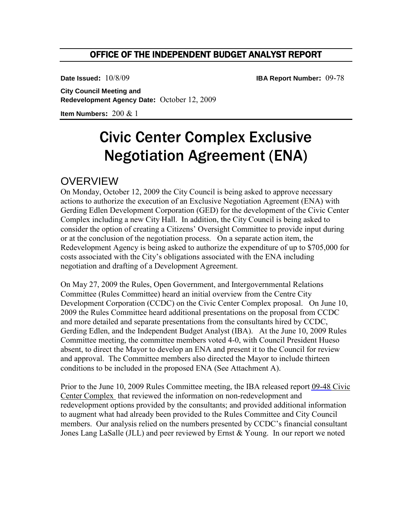### OFFICE OF THE INDEPENDENT BUDGET ANALYST REPORT

**Date Issued:** 10/8/09 **IBA Report Number:** 09-78

**City Council Meeting and Redevelopment Agency Date:** October 12, 2009

**Item Numbers:** 200 & 1

# Civic Center Complex Exclusive Negotiation Agreement (ENA)

## **OVERVIEW**

On Monday, October 12, 2009 the City Council is being asked to approve necessary actions to authorize the execution of an Exclusive Negotiation Agreement (ENA) with Gerding Edlen Development Corporation (GED) for the development of the Civic Center Complex including a new City Hall. In addition, the City Council is being asked to consider the option of creating a Citizens' Oversight Committee to provide input during or at the conclusion of the negotiation process. On a separate action item, the Redevelopment Agency is being asked to authorize the expenditure of up to \$705,000 for costs associated with the City's obligations associated with the ENA including negotiation and drafting of a Development Agreement.

On May 27, 2009 the Rules, Open Government, and Intergovernmental Relations Committee (Rules Committee) heard an initial overview from the Centre City Development Corporation (CCDC) on the Civic Center Complex proposal. On June 10, 2009 the Rules Committee heard additional presentations on the proposal from CCDC and more detailed and separate presentations from the consultants hired by CCDC, Gerding Edlen, and the Independent Budget Analyst (IBA). At the June 10, 2009 Rules Committee meeting, the committee members voted 4-0, with Council President Hueso absent, to direct the Mayor to develop an ENA and present it to the Council for review and approval. The Committee members also directed the Mayor to include thirteen conditions to be included in the proposed ENA (See Attachment A).

Prior to the June 10, 2009 Rules Committee meeting, the IBA released report [09-48](http://www.sandiego.gov/iba/pdf/09_48.pdf) Civic Center Complex that reviewed the information on non-redevelopment and redevelopment options provided by the consultants; and provided additional information to augment what had already been provided to the Rules Committee and City Council members. Our analysis relied on the numbers presented by CCDC's financial consultant Jones Lang LaSalle (JLL) and peer reviewed by Ernst & Young. In our report we noted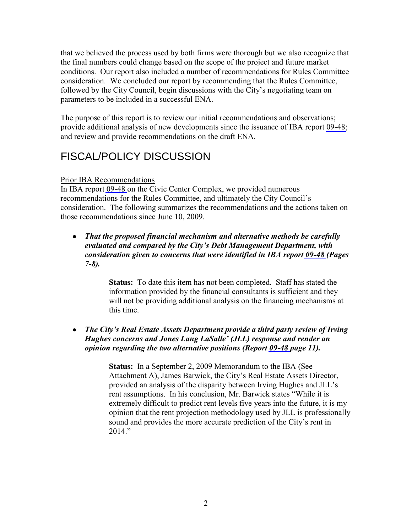that we believed the process used by both firms were thorough but we also recognize that the final numbers could change based on the scope of the project and future market conditions. Our report also included a number of recommendations for Rules Committee consideration. We concluded our report by recommending that the Rules Committee, followed by the City Council, begin discussions with the City's negotiating team on parameters to be included in a successful ENA.

The purpose of this report is to review our initial recommendations and observations; provide additional analysis of new developments since the issuance of IBA report [09-48;](http://www.sandiego.gov/iba/pdf/09_48.pdf) and review and provide recommendations on the draft ENA.

# FISCAL/POLICY DISCUSSION

#### Prior IBA Recommendations

In IBA report [09-48](http://www.sandiego.gov/iba/pdf/09_48.pdf) on the Civic Center Complex, we provided numerous recommendations for the Rules Committee, and ultimately the City Council's consideration. The following summarizes the recommendations and the actions taken on those recommendations since June 10, 2009.

**•** That the proposed financial mechanism and alternative methods be carefully *evaluated and compared by the City's Debt Management Department, with consideration given to concerns that were identified in IBA report [09-48](http://www.sandiego.gov/iba/pdf/09_48.pdf) (Pages 7-8).* 

> **Status:** To date this item has not been completed. Staff has stated the information provided by the financial consultants is sufficient and they will not be providing additional analysis on the financing mechanisms at this time.

#### • The City's Real Estate Assets Department provide a third party review of Irving *Hughes concerns and Jones Lang LaSalle' (JLL) response and render an opinion regarding the two alternative positions (Report [09-48](http://www.sandiego.gov/iba/pdf/09_48.pdf) page 11).*

**Status:** In a September 2, 2009 Memorandum to the IBA (See Attachment A), James Barwick, the City's Real Estate Assets Director, provided an analysis of the disparity between Irving Hughes and JLL's rent assumptions. In his conclusion, Mr. Barwick states "While it is extremely difficult to predict rent levels five years into the future, it is my opinion that the rent projection methodology used by JLL is professionally sound and provides the more accurate prediction of the City's rent in  $2014$ "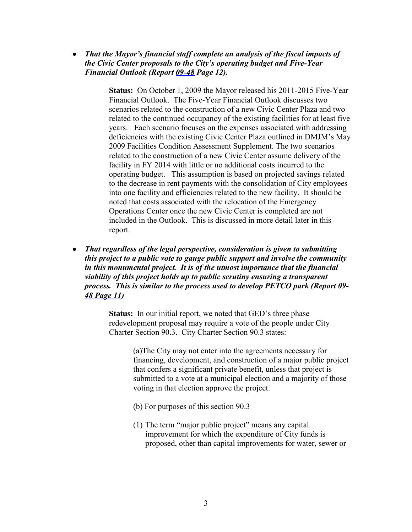• That the Mayor's financial staff complete an analysis of the fiscal impacts of *the Civic Center proposals to the City's operating budget and Five-Year Financial Outlook (Report [09-48](http://www.sandiego.gov/iba/pdf/09_48.pdf) Page 12).* 

> **Status:** On October 1, 2009 the Mayor released his 2011-2015 Five-Year Financial Outlook. The Five-Year Financial Outlook discusses two scenarios related to the construction of a new Civic Center Plaza and two related to the continued occupancy of the existing facilities for at least five years. Each scenario focuses on the expenses associated with addressing deficiencies with the existing Civic Center Plaza outlined in DMJM's May 2009 Facilities Condition Assessment Supplement. The two scenarios related to the construction of a new Civic Center assume delivery of the facility in FY 2014 with little or no additional costs incurred to the operating budget. This assumption is based on projected savings related to the decrease in rent payments with the consolidation of City employees into one facility and efficiencies related to the new facility. It should be noted that costs associated with the relocation of the Emergency Operations Center once the new Civic Center is completed are not included in the Outlook. This is discussed in more detail later in this report.

**•** That regardless of the legal perspective, consideration is given to submitting *this project to a public vote to gauge public support and involve the community in this monumental project. It is of the utmost importance that the financial viability of this project holds up to public scrutiny ensuring a transparent process. This is similar to the process used to develop PETCO park (Report 09- [48 Page 11\)](http://www.sandiego.gov/iba/pdf/09_48.pdf)* 

> **Status:** In our initial report, we noted that GED's three phase redevelopment proposal may require a vote of the people under City Charter Section 90.3. City Charter Section 90.3 states:

> > (a)The City may not enter into the agreements necessary for financing, development, and construction of a major public project that confers a significant private benefit, unless that project is submitted to a vote at a municipal election and a majority of those voting in that election approve the project.

- (b) For purposes of this section 90.3
- (1) The term "major public project" means any capital improvement for which the expenditure of City funds is proposed, other than capital improvements for water, sewer or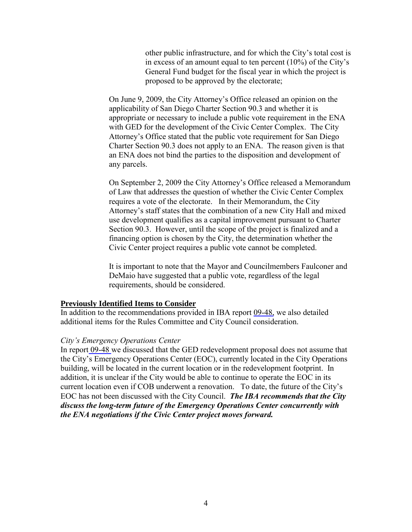other public infrastructure, and for which the City's total cost is in excess of an amount equal to ten percent (10%) of the City's General Fund budget for the fiscal year in which the project is proposed to be approved by the electorate;

On June 9, 2009, the City Attorney's Office released an opinion on the applicability of San Diego Charter Section 90.3 and whether it is appropriate or necessary to include a public vote requirement in the ENA with GED for the development of the Civic Center Complex. The City Attorney's Office stated that the public vote requirement for San Diego Charter Section 90.3 does not apply to an ENA. The reason given is that an ENA does not bind the parties to the disposition and development of any parcels.

On September 2, 2009 the City Attorney's Office released a Memorandum of Law that addresses the question of whether the Civic Center Complex requires a vote of the electorate. In their Memorandum, the City Attorney's staff states that the combination of a new City Hall and mixed use development qualifies as a capital improvement pursuant to Charter Section 90.3. However, until the scope of the project is finalized and a financing option is chosen by the City, the determination whether the Civic Center project requires a public vote cannot be completed.

It is important to note that the Mayor and Councilmembers Faulconer and DeMaio have suggested that a public vote, regardless of the legal requirements, should be considered.

#### **Previously Identified Items to Consider**

In addition to the recommendations provided in IBA report [09-48,](http://www.sandiego.gov/iba/pdf/09_48.pdf) we also detailed additional items for the Rules Committee and City Council consideration.

#### *City's Emergency Operations Center*

In report [09-48](http://www.sandiego.gov/iba/pdf/09_48.pdf) we discussed that the GED redevelopment proposal does not assume that the City's Emergency Operations Center (EOC), currently located in the City Operations building, will be located in the current location or in the redevelopment footprint. In addition, it is unclear if the City would be able to continue to operate the EOC in its current location even if COB underwent a renovation. To date, the future of the City's EOC has not been discussed with the City Council. *The IBA recommends that the City discuss the long-term future of the Emergency Operations Center concurrently with the ENA negotiations if the Civic Center project moves forward.*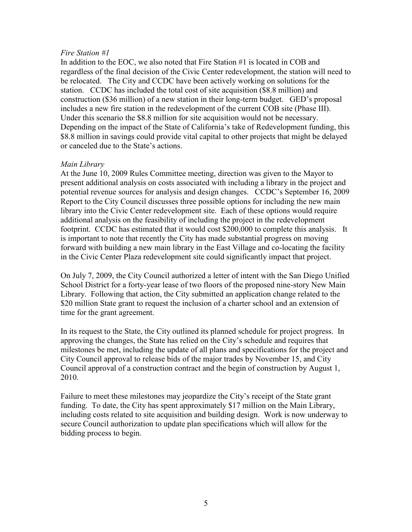#### *Fire Station #1*

In addition to the EOC, we also noted that Fire Station #1 is located in COB and regardless of the final decision of the Civic Center redevelopment, the station will need to be relocated. The City and CCDC have been actively working on solutions for the station. CCDC has included the total cost of site acquisition (\$8.8 million) and construction (\$36 million) of a new station in their long-term budget. GED's proposal includes a new fire station in the redevelopment of the current COB site (Phase III). Under this scenario the \$8.8 million for site acquisition would not be necessary. Depending on the impact of the State of California's take of Redevelopment funding, this \$8.8 million in savings could provide vital capital to other projects that might be delayed or canceled due to the State's actions.

#### *Main Library*

At the June 10, 2009 Rules Committee meeting, direction was given to the Mayor to present additional analysis on costs associated with including a library in the project and potential revenue sources for analysis and design changes. CCDC's September 16, 2009 Report to the City Council discusses three possible options for including the new main library into the Civic Center redevelopment site. Each of these options would require additional analysis on the feasibility of including the project in the redevelopment footprint. CCDC has estimated that it would cost \$200,000 to complete this analysis. It is important to note that recently the City has made substantial progress on moving forward with building a new main library in the East Village and co-locating the facility in the Civic Center Plaza redevelopment site could significantly impact that project.

On July 7, 2009, the City Council authorized a letter of intent with the San Diego Unified School District for a forty-year lease of two floors of the proposed nine-story New Main Library. Following that action, the City submitted an application change related to the \$20 million State grant to request the inclusion of a charter school and an extension of time for the grant agreement.

In its request to the State, the City outlined its planned schedule for project progress. In approving the changes, the State has relied on the City's schedule and requires that milestones be met, including the update of all plans and specifications for the project and City Council approval to release bids of the major trades by November 15, and City Council approval of a construction contract and the begin of construction by August 1, 2010.

Failure to meet these milestones may jeopardize the City's receipt of the State grant funding. To date, the City has spent approximately \$17 million on the Main Library, including costs related to site acquisition and building design. Work is now underway to secure Council authorization to update plan specifications which will allow for the bidding process to begin.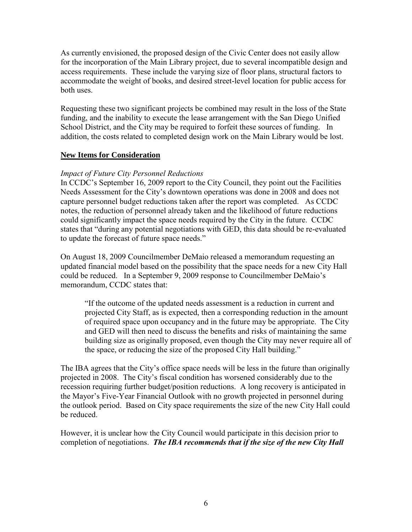As currently envisioned, the proposed design of the Civic Center does not easily allow for the incorporation of the Main Library project, due to several incompatible design and access requirements. These include the varying size of floor plans, structural factors to accommodate the weight of books, and desired street-level location for public access for both uses.

Requesting these two significant projects be combined may result in the loss of the State funding, and the inability to execute the lease arrangement with the San Diego Unified School District, and the City may be required to forfeit these sources of funding. In addition, the costs related to completed design work on the Main Library would be lost.

#### **New Items for Consideration**

#### *Impact of Future City Personnel Reductions*

In CCDC's September 16, 2009 report to the City Council, they point out the Facilities Needs Assessment for the City's downtown operations was done in 2008 and does not capture personnel budget reductions taken after the report was completed. As CCDC notes, the reduction of personnel already taken and the likelihood of future reductions could significantly impact the space needs required by the City in the future. CCDC states that "during any potential negotiations with GED, this data should be re-evaluated to update the forecast of future space needs."

On August 18, 2009 Councilmember DeMaio released a memorandum requesting an updated financial model based on the possibility that the space needs for a new City Hall could be reduced. In a September 9, 2009 response to Councilmember DeMaio's memorandum, CCDC states that:

"If the outcome of the updated needs assessment is a reduction in current and projected City Staff, as is expected, then a corresponding reduction in the amount of required space upon occupancy and in the future may be appropriate. The City and GED will then need to discuss the benefits and risks of maintaining the same building size as originally proposed, even though the City may never require all of the space, or reducing the size of the proposed City Hall building."

The IBA agrees that the City's office space needs will be less in the future than originally projected in 2008. The City's fiscal condition has worsened considerably due to the recession requiring further budget/position reductions. A long recovery is anticipated in the Mayor's Five-Year Financial Outlook with no growth projected in personnel during the outlook period. Based on City space requirements the size of the new City Hall could be reduced.

However, it is unclear how the City Council would participate in this decision prior to completion of negotiations. *The IBA recommends that if the size of the new City Hall*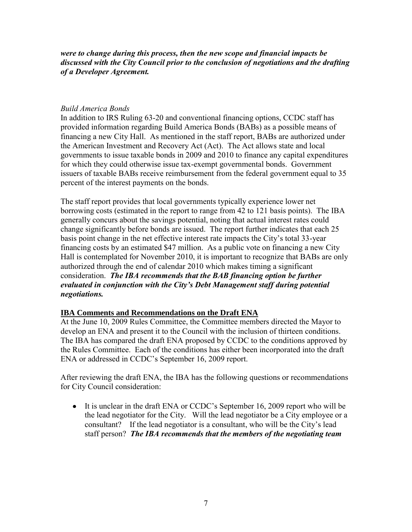*were to change during this process, then the new scope and financial impacts be discussed with the City Council prior to the conclusion of negotiations and the drafting of a Developer Agreement.* 

#### *Build America Bonds*

In addition to IRS Ruling 63-20 and conventional financing options, CCDC staff has provided information regarding Build America Bonds (BABs) as a possible means of financing a new City Hall. As mentioned in the staff report, BABs are authorized under the American Investment and Recovery Act (Act). The Act allows state and local governments to issue taxable bonds in 2009 and 2010 to finance any capital expenditures for which they could otherwise issue tax-exempt governmental bonds. Government issuers of taxable BABs receive reimbursement from the federal government equal to 35 percent of the interest payments on the bonds.

The staff report provides that local governments typically experience lower net borrowing costs (estimated in the report to range from 42 to 121 basis points). The IBA generally concurs about the savings potential, noting that actual interest rates could change significantly before bonds are issued. The report further indicates that each 25 basis point change in the net effective interest rate impacts the City's total 33-year financing costs by an estimated \$47 million. As a public vote on financing a new City Hall is contemplated for November 2010, it is important to recognize that BABs are only authorized through the end of calendar 2010 which makes timing a significant consideration. *The IBA recommends that the BAB financing option be further evaluated in conjunction with the City's Debt Management staff during potential negotiations.*

#### **IBA Comments and Recommendations on the Draft ENA**

At the June 10, 2009 Rules Committee, the Committee members directed the Mayor to develop an ENA and present it to the Council with the inclusion of thirteen conditions. The IBA has compared the draft ENA proposed by CCDC to the conditions approved by the Rules Committee. Each of the conditions has either been incorporated into the draft ENA or addressed in CCDC's September 16, 2009 report.

After reviewing the draft ENA, the IBA has the following questions or recommendations for City Council consideration:

• It is unclear in the draft ENA or CCDC's September 16, 2009 report who will be the lead negotiator for the City. Will the lead negotiator be a City employee or a consultant? If the lead negotiator is a consultant, who will be the City's lead staff person? *The IBA recommends that the members of the negotiating team*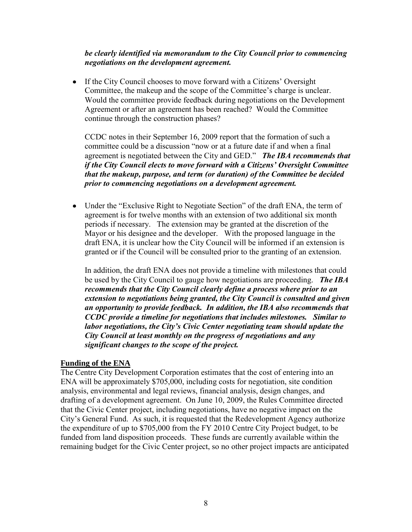#### *be clearly identified via memorandum to the City Council prior to commencing negotiations on the development agreement.*

• If the City Council chooses to move forward with a Citizens' Oversight Committee, the makeup and the scope of the Committee's charge is unclear. Would the committee provide feedback during negotiations on the Development Agreement or after an agreement has been reached? Would the Committee continue through the construction phases?

CCDC notes in their September 16, 2009 report that the formation of such a committee could be a discussion "now or at a future date if and when a final agreement is negotiated between the City and GED." *The IBA recommends that if the City Council elects to move forward with a Citizens' Oversight Committee that the makeup, purpose, and term (or duration) of the Committee be decided prior to commencing negotiations on a development agreement.* 

• Under the "Exclusive Right to Negotiate Section" of the draft ENA, the term of agreement is for twelve months with an extension of two additional six month periods if necessary. The extension may be granted at the discretion of the Mayor or his designee and the developer. With the proposed language in the draft ENA, it is unclear how the City Council will be informed if an extension is granted or if the Council will be consulted prior to the granting of an extension.

In addition, the draft ENA does not provide a timeline with milestones that could be used by the City Council to gauge how negotiations are proceeding. *The IBA recommends that the City Council clearly define a process where prior to an extension to negotiations being granted, the City Council is consulted and given an opportunity to provide feedback. In addition, the IBA also recommends that CCDC provide a timeline for negotiations that includes milestones. Similar to labor negotiations, the City's Civic Center negotiating team should update the City Council at least monthly on the progress of negotiations and any significant changes to the scope of the project.* 

#### **Funding of the ENA**

The Centre City Development Corporation estimates that the cost of entering into an ENA will be approximately \$705,000, including costs for negotiation, site condition analysis, environmental and legal reviews, financial analysis, design changes, and drafting of a development agreement. On June 10, 2009, the Rules Committee directed that the Civic Center project, including negotiations, have no negative impact on the City's General Fund. As such, it is requested that the Redevelopment Agency authorize the expenditure of up to \$705,000 from the FY 2010 Centre City Project budget, to be funded from land disposition proceeds. These funds are currently available within the remaining budget for the Civic Center project, so no other project impacts are anticipated